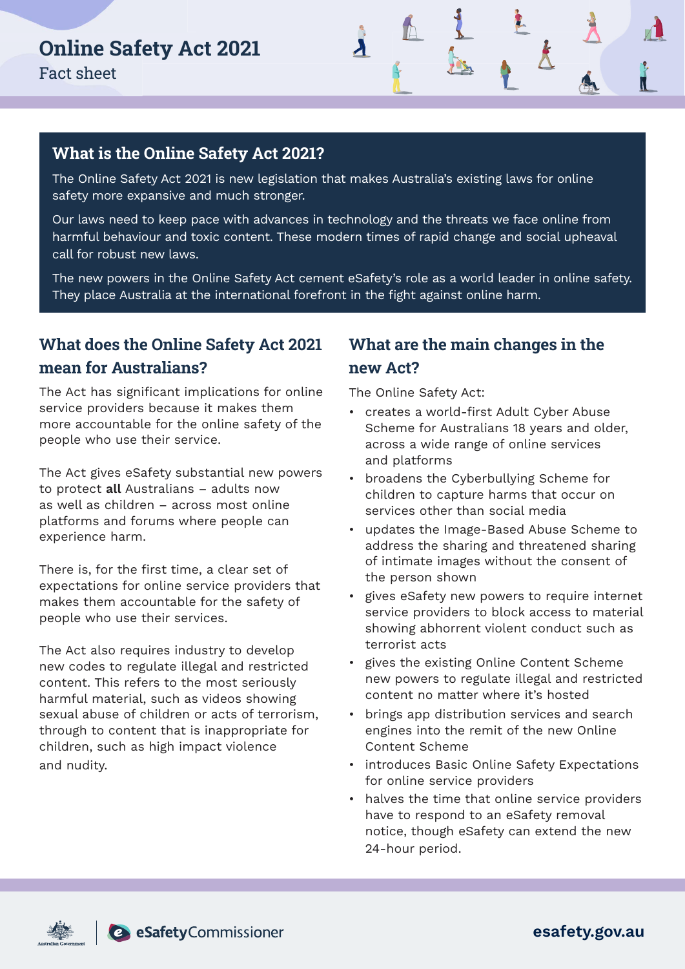

### **What is the Online Safety Act 2021?**

The Online Safety Act 2021 is new legislation that makes Australia's existing laws for online safety more expansive and much stronger.

Our laws need to keep pace with advances in technology and the threats we face online from harmful behaviour and toxic content. These modern times of rapid change and social upheaval call for robust new laws.

The new powers in the Online Safety Act cement eSafety's role as a world leader in online safety. They place Australia at the international forefront in the fight against online harm.

# **What does the Online Safety Act 2021 mean for Australians?**

The Act has significant implications for online service providers because it makes them more accountable for the online safety of the people who use their service.

The Act gives eSafety substantial new powers to protect all Australians – adults now as well as children – across most online platforms and forums where people can experience harm.

There is, for the first time, a clear set of expectations for online service providers that makes them accountable for the safety of people who use their services.

The Act also requires industry to develop new codes to regulate illegal and restricted content. This refers to the most seriously harmful material, such as videos showing sexual abuse of children or acts of terrorism, through to content that is inappropriate for children, such as high impact violence and nudity.

## **What are the main changes in the new Act?**

The Online Safety Act:

- creates a world-first Adult Cyber Abuse Scheme for Australians 18 years and older, across a wide range of online services and platforms
- broadens the Cyberbullying Scheme for children to capture harms that occur on services other than social media
- updates the Image-Based Abuse Scheme to address the sharing and threatened sharing of intimate images without the consent of the person shown
- gives eSafety new powers to require internet service providers to block access to material showing abhorrent violent conduct such as terrorist acts
- gives the existing Online Content Scheme new powers to regulate illegal and restricted content no matter where it's hosted
- brings app distribution services and search engines into the remit of the new Online Content Scheme
- introduces Basic Online Safety Expectations for online service providers
- halves the time that online service providers have to respond to an eSafety removal notice, though eSafety can extend the new 24-hour period.





esafety.gov.au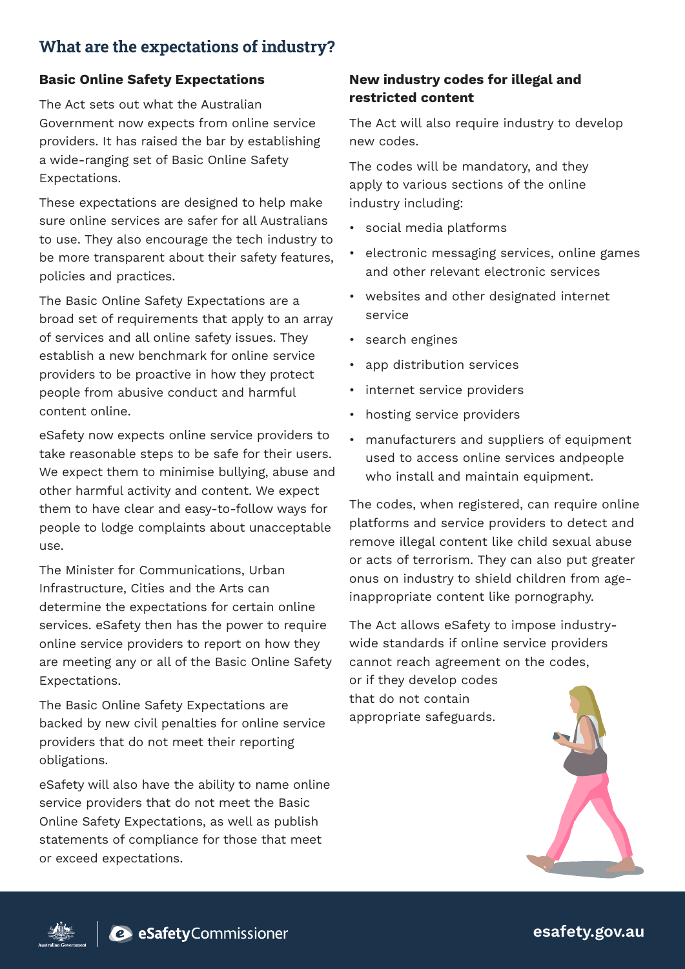## **What are the expectations of industry?**

#### Basic Online Safety Expectations

The Act sets out what the Australian Government now expects from online service providers. It has raised the bar by establishing a wide-ranging set of Basic Online Safety Expectations.

These expectations are designed to help make sure online services are safer for all Australians to use. They also encourage the tech industry to be more transparent about their safety features, policies and practices.

The Basic Online Safety Expectations are a broad set of requirements that apply to an array of services and all online safety issues. They establish a new benchmark for online service providers to be proactive in how they protect people from abusive conduct and harmful content online.

eSafety now expects online service providers to take reasonable steps to be safe for their users. We expect them to minimise bullying, abuse and other harmful activity and content. We expect them to have clear and easy-to-follow ways for people to lodge complaints about unacceptable use.

The Minister for Communications, Urban Infrastructure, Cities and the Arts can determine the expectations for certain online services. eSafety then has the power to require online service providers to report on how they are meeting any or all of the Basic Online Safety Expectations.

The Basic Online Safety Expectations are backed by new civil penalties for online service providers that do not meet their reporting obligations.

eSafety will also have the ability to name online service providers that do not meet the Basic Online Safety Expectations, as well as publish statements of compliance for those that meet or exceed expectations.

#### New industry codes for illegal and restricted content

The Act will also require industry to develop new codes.

The codes will be mandatory, and they apply to various sections of the online industry including:

- social media platforms
- electronic messaging services, online games and other relevant electronic services
- websites and other designated internet service
- search engines
- app distribution services
- internet service providers
- hosting service providers
- manufacturers and suppliers of equipment used to access online services andpeople who install and maintain equipment.

The codes, when registered, can require online platforms and service providers to detect and remove illegal content like child sexual abuse or acts of terrorism. They can also put greater onus on industry to shield children from ageinappropriate content like pornography.

The Act allows eSafety to impose industrywide standards if online service providers cannot reach agreement on the codes, or if they develop codes that do not contain

appropriate safeguards.





esafety.gov.au